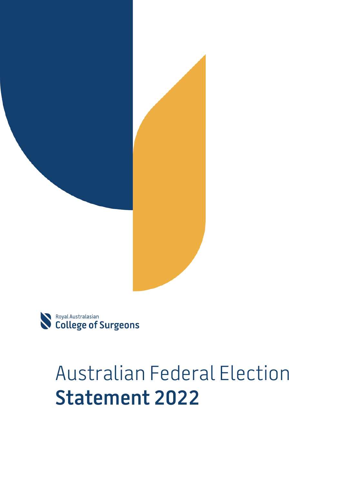



# Australian Federal Election **Statement 2022**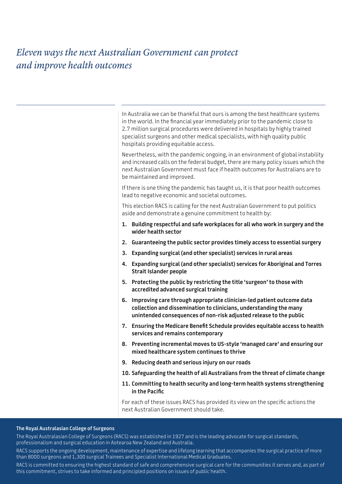### *Eleven ways the next Australian Government can protect and improve health outcomes*

In Australia we can be thankful that ours is among the best healthcare systems in the world. In the financial year immediately prior to the pandemic close to 2.7 million surgical procedures were delivered in hospitals by highly trained specialist surgeons and other medical specialists, with high quality public hospitals providing equitable access.

Nevertheless, with the pandemic ongoing, in an environment of global instability and increased calls on the federal budget, there are many policy issues which the next Australian Government must face if health outcomes for Australians are to be maintained and improved.

If there is one thing the pandemic has taught us, it is that poor health outcomes lead to negative economic and societal outcomes.

This election RACS is calling for the next Australian Government to put politics aside and demonstrate a genuine commitment to health by:

- **1. Building respectful and safe workplaces for all who work in surgery and the wider health sector**
- **2. Guaranteeing the public sector provides timely access to essential surgery**
- **3. Expanding surgical (and other specialist) services in rural areas**
- **4. Expanding surgical (and other specialist) services for Aboriginal and Torres Strait Islander people**
- **5. Protecting the public by restricting the title 'surgeon' to those with accredited advanced surgical training**
- **6. Improving care through appropriate clinician-led patient outcome data collection and dissemination to clinicians, understanding the many unintended consequences of non-risk adjusted release to the public**
- **7. Ensuring the Medicare Benefit Schedule provides equitable access to health services and remains contemporary**
- **8. Preventing incremental moves to US-style 'managed care' and ensuring our mixed healthcare system continues to thrive**
- **9. Reducing death and serious injury on our roads**
- **10. Safeguarding the health of all Australians from the threat of climate change**
- **11. Committing to health security and long-term health systems strengthening in the Pacific**

For each of these issues RACS has provided its view on the specific actions the next Australian Government should take.

#### **The Royal Australasian College of Surgeons**

The Royal Australasian College of Surgeons (RACS) was established in 1927 and is the leading advocate for surgical standards, professionalism and surgical education in Aotearoa New Zealand and Australia.

RACS supports the ongoing development, maintenance of expertise and lifelong learning that accompanies the surgical practice of more than 8000 surgeons and 1,300 surgical Trainees and Specialist International Medical Graduates.

RACS is committed to ensuring the highest standard of safe and comprehensive surgical care for the communities it serves and, as part of this commitment, strives to take informed and principled positions on issues of public health.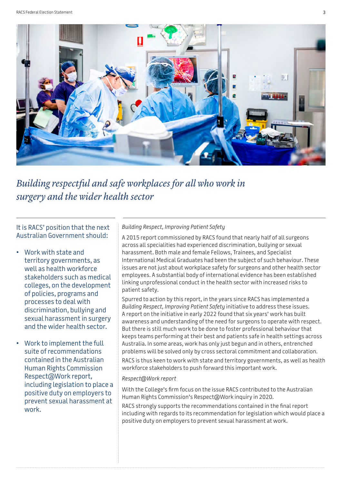

*Building respectful and safe workplaces for all who work in surgery and the wider health sector*

It is RACS' position that the next Australian Government should:

- Work with state and territory governments, as well as health workforce stakeholders such as medical colleges, on the development of policies, programs and processes to deal with discrimination, bullying and sexual harassment in surgery and the wider health sector.
- Work to implement the full suite of recommendations contained in the Australian Human Rights Commission Respect@Work report, including legislation to place a positive duty on employers to prevent sexual harassment at work.

*Building Respect, Improving Patient Safety*

A 2015 report commissioned by RACS found that nearly half of all surgeons across all specialities had experienced discrimination, bullying or sexual harassment. Both male and female Fellows, Trainees, and Specialist International Medical Graduates had been the subject of such behaviour. These issues are not just about workplace safety for surgeons and other health sector employees. A substantial body of international evidence has been established linking unprofessional conduct in the health sector with increased risks to patient safety.

Spurred to action by this report, in the years since RACS has implemented a *Building Respect, Improving Patient Safety* initiative to address these issues. A report on the initiative in early 2022 found that six years' work has built awareness and understanding of the need for surgeons to operate with respect. But there is still much work to be done to foster professional behaviour that keeps teams performing at their best and patients safe in health settings across Australia. In some areas, work has only just begun and in others, entrenched problems will be solved only by cross sectoral commitment and collaboration. RACS is thus keen to work with state and territory governments, as well as health workforce stakeholders to push forward this important work.

#### *Respect@Work report*

With the College's firm focus on the issue RACS contributed to the Australian Human Rights Commission's Respect@Work inquiry in 2020.

RACS strongly supports the recommendations contained in the final report including with regards to its recommendation for legislation which would place a positive duty on employers to prevent sexual harassment at work.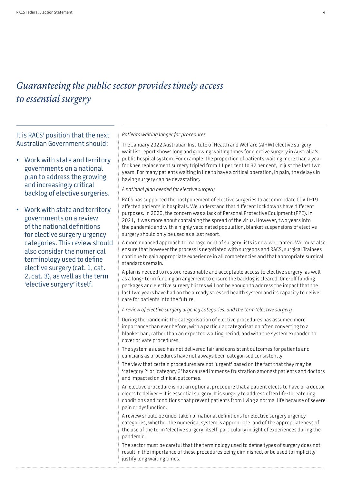### *Guaranteeing the public sector provides timely access to essential surgery*

It is RACS' position that the next Australian Government should:

- Work with state and territory governments on a national plan to address the growing and increasingly critical backlog of elective surgeries.
- Work with state and territory governments on a review of the national definitions for elective surgery urgency categories. This review should also consider the numerical terminology used to define elective surgery (cat. 1, cat. 2, cat. 3), as well as the term 'elective surgery' itself.

*Patients waiting longer for procedures*

The January 2022 Australian Institute of Health and Welfare (AIHW) elective surgery wait list report shows long and growing waiting times for elective surgery in Australia's public hospital system. For example, the proportion of patients waiting more than a year for knee replacement surgery tripled from 11 per cent to 32 per cent, in just the last two years. For many patients waiting in line to have a critical operation, in pain, the delays in having surgery can be devastating.

#### *A national plan needed for elective surgery*

RACS has supported the postponement of elective surgeries to accommodate COVID-19 affected patients in hospitals. We understand that different lockdowns have different purposes. In 2020, the concern was a lack of Personal Protective Equipment (PPE). In 2021, it was more about containing the spread of the virus. However, two years into the pandemic and with a highly vaccinated population, blanket suspensions of elective surgery should only be used as a last resort.

A more nuanced approach to management of surgery lists is now warranted. We must also ensure that however the process is negotiated with surgeons and RACS, surgical Trainees continue to gain appropriate experience in all competencies and that appropriate surgical standards remain.

A plan is needed to restore reasonable and acceptable access to elective surgery, as well as a long- term funding arrangement to ensure the backlog is cleared. One-off funding packages and elective surgery blitzes will not be enough to address the impact that the last two years have had on the already stressed health system and its capacity to deliver care for patients into the future.

*A review of elective surgery urgency categories, and the term 'elective surgery'*

During the pandemic the categorisation of elective procedures has assumed more importance than ever before, with a particular categorisation often converting to a blanket ban, rather than an expected waiting period, and with the system expanded to cover private procedures.

The system as used has not delivered fair and consistent outcomes for patients and clinicians as procedures have not always been categorised consistently.

The view that certain procedures are not 'urgent' based on the fact that they may be 'category 2' or 'category 3' has caused immense frustration amongst patients and doctors and impacted on clinical outcomes.

An elective procedure is not an optional procedure that a patient elects to have or a doctor elects to deliver – it is essential surgery. It is surgery to address often life-threatening conditions and conditions that prevent patients from living a normal life because of severe pain or dysfunction.

A review should be undertaken of national definitions for elective surgery urgency categories, whether the numerical system is appropriate, and of the appropriateness of the use of the term 'elective surgery' itself, particularly in light of experiences during the pandemic.

The sector must be careful that the terminology used to define types of surgery does not result in the importance of these procedures being diminished, or be used to implicitly justify long waiting times.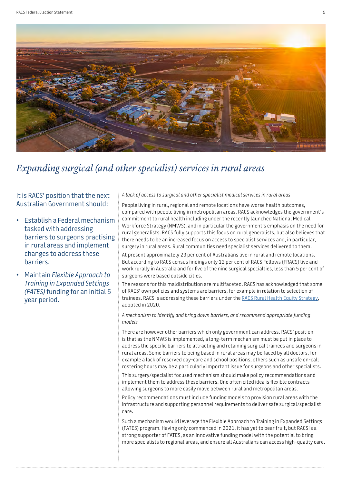

### *Expanding surgical (and other specialist) services in rural areas*

It is RACS' position that the next Australian Government should:

- Establish a Federal mechanism tasked with addressing barriers to surgeons practising in rural areas and implement changes to address these barriers.
- Maintain *Flexible Approach to Training in Expanded Settings (FATES)* funding for an initial 5 year period.

#### *A lack of access to surgical and other specialist medical services in rural areas*

People living in rural, regional and remote locations have worse health outcomes, compared with people living in metropolitan areas. RACS acknowledges the government's commitment to rural health including under the recently launched National Medical Workforce Strategy (NMWS), and in particular the government's emphasis on the need for rural generalists. RACS fully supports this focus on rural generalists, but also believes that there needs to be an increased focus on access to specialist services and, in particular, surgery in rural areas. Rural communities need specialist services delivered to them.

At present approximately 29 per cent of Australians live in rural and remote locations. But according to RACS census findings only 12 per cent of RACS Fellows (FRACS) live and work rurally in Australia and for five of the nine surgical specialties, less than 5 per cent of surgeons were based outside cities.

The reasons for this maldistribution are multifaceted. RACS has acknowledged that some of RACS' own policies and systems are barriers, for example in relation to selection of trainees. RACS is addressing these barriers under the [RACS Rural Health Equity Strategy](https://www.surgeons.org/-/media/Project/RACS/surgeons-org/files/interest-groups-sections/Rural-Surgery/RPT-Rural-Health-Equity-Public-FINAL.pdf?rev=1709767dffbd48cda7dbfa3c053c6b58&hash=717809CD51D32CE7F4C927E883515ECE), adopted in 2020.

*A mechanism to identify and bring down barriers, and recommend appropriate funding models*

There are however other barriers which only government can address. RACS' position is that as the NMWS is implemented, a long-term mechanism must be put in place to address the specific barriers to attracting and retaining surgical trainees and surgeons in rural areas. Some barriers to being based in rural areas may be faced by all doctors, for example a lack of reserved day-care and school positions, others such as unsafe on-call rostering hours may be a particularly important issue for surgeons and other specialists.

This surgery/specialist focused mechanism should make policy recommendations and implement them to address these barriers. One often cited idea is flexible contracts allowing surgeons to more easily move between rural and metropolitan areas.

Policy recommendations must include funding models to provision rural areas with the infrastructure and supporting personnel requirements to deliver safe surgical/specialist care.

Such a mechanism would leverage the Flexible Approach to Training in Expanded Settings (FATES) program. Having only commenced in 2021, it has yet to bear fruit, but RACS is a strong supporter of FATES, as an innovative funding model with the potential to bring more specialists to regional areas, and ensure all Australians can access high-quality care.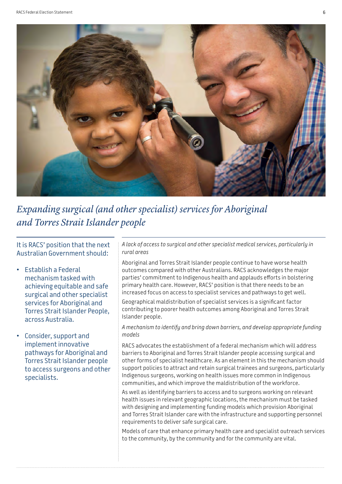

*Expanding surgical (and other specialist) services for Aboriginal and Torres Strait Islander people*

It is RACS' position that the next Australian Government should:

- Establish a Federal mechanism tasked with achieving equitable and safe surgical and other specialist services for Aboriginal and Torres Strait Islander People, across Australia.
- Consider, support and implement innovative pathways for Aboriginal and Torres Strait Islander people to access surgeons and other specialists.

*A lack of access to surgical and other specialist medical services, particularly in rural areas*

Aboriginal and Torres Strait Islander people continue to have worse health outcomes compared with other Australians. RACS acknowledges the major parties' commitment to Indigenous health and applauds efforts in bolstering primary health care. However, RACS' position is that there needs to be an increased focus on access to specialist services and pathways to get well. Geographical maldistribution of specialist services is a significant factor contributing to poorer health outcomes among Aboriginal and Torres Strait Islander people.

*A mechanism to identify and bring down barriers, and develop appropriate funding models*

RACS advocates the establishment of a federal mechanism which will address barriers to Aboriginal and Torres Strait Islander people accessing surgical and other forms of specialist healthcare. As an element in this the mechanism should support policies to attract and retain surgical trainees and surgeons, particularly Indigenous surgeons, working on health issues more common in Indigenous communities, and which improve the maldistribution of the workforce.

As well as identifying barriers to access and to surgeons working on relevant health issues in relevant geographic locations, the mechanism must be tasked with designing and implementing funding models which provision Aboriginal and Torres Strait Islander care with the infrastructure and supporting personnel requirements to deliver safe surgical care.

Models of care that enhance primary health care and specialist outreach services to the community, by the community and for the community are vital.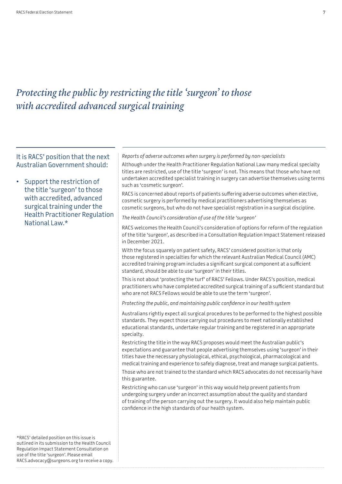### *Protecting the public by restricting the title 'surgeon' to those with accredited advanced surgical training*

### It is RACS' position that the next Australian Government should:

### • Support the restriction of the title 'surgeon' to those with accredited, advanced surgical training under the Health Practitioner Regulation National Law.\*

*Reports of adverse outcomes when surgery is performed by non-specialists*

Although under the Health Practitioner Regulation National Law many medical specialty titles are restricted, use of the title 'surgeon' is not. This means that those who have not undertaken accredited specialist training in surgery can advertise themselves using terms such as 'cosmetic surgeon'.

RACS is concerned about reports of patients suffering adverse outcomes when elective, cosmetic surgery is performed by medical practitioners advertising themselves as cosmetic surgeons, but who do not have specialist registration in a surgical discipline.

*The Health Council's consideration of use of the title 'surgeon'*

RACS welcomes the Health Council's consideration of options for reform of the regulation of the title 'surgeon', as described in a Consultation Regulation Impact Statement released in December 2021.

With the focus squarely on patient safety, RACS' considered position is that only those registered in specialties for which the relevant Australian Medical Council (AMC) accredited training program includes a significant surgical component at a sufficient standard, should be able to use 'surgeon' in their titles.

This is not about 'protecting the turf' of RACS' Fellows. Under RACS's position, medical practitioners who have completed accredited surgical training of a sufficient standard but who are not RACS Fellows would be able to use the term 'surgeon'.

*Protecting the public, and maintaining public confidence in our health system*

Australians rightly expect all surgical procedures to be performed to the highest possible standards. They expect those carrying out procedures to meet nationally established educational standards, undertake regular training and be registered in an appropriate specialty.

Restricting the title in the way RACS proposes would meet the Australian public's expectations and guarantee that people advertising themselves using 'surgeon' in their titles have the necessary physiological, ethical, psychological, pharmacological and medical training and experience to safely diagnose, treat and manage surgical patients.

Those who are not trained to the standard which RACS advocates do not necessarily have this guarantee.

Restricting who can use 'surgeon' in this way would help prevent patients from undergoing surgery under an incorrect assumption about the quality and standard of training of the person carrying out the surgery. It would also help maintain public confidence in the high standards of our health system.

\*RACS' detailed position on this issue is outlined in its submission to the Health Council Regulation Impact Statement Consultation on use of the title 'surgeon'. Please email RACS.advocacy@surgeons.org to receive a copy.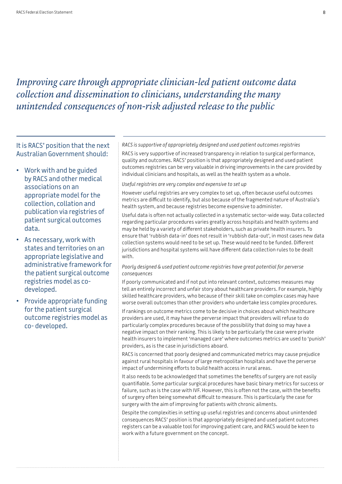### *Improving care through appropriate clinician-led patient outcome data collection and dissemination to clinicians, understanding the many unintended consequences of non-risk adjusted release to the public*

It is RACS' position that the next Australian Government should:

- Work with and be guided by RACS and other medical associations on an appropriate model for the collection, collation and publication via registries of patient surgical outcomes data.
- As necessary, work with states and territories on an appropriate legislative and administrative framework for the patient surgical outcome registries model as codeveloped.
- Provide appropriate funding for the patient surgical outcome registries model as co- developed.

#### *RACS is supportive of appropriately designed and used patient outcomes registries*

RACS is very supportive of increased transparency in relation to surgical performance, quality and outcomes. RACS' position is that appropriately designed and used patient outcomes registries can be very valuable in driving improvements in the care provided by individual clinicians and hospitals, as well as the health system as a whole.

#### *Useful registries are very complex and expensive to set up*

However useful registries are very complex to set up, often because useful outcomes metrics are difficult to identify, but also because of the fragmented nature of Australia's health system, and because registries become expensive to administer.

Useful data is often not actually collected in a systematic sector-wide way. Data collected regarding particular procedures varies greatly across hospitals and health systems and may be held by a variety of different stakeholders, such as private health insurers. To ensure that 'rubbish data-in' does not result in 'rubbish data-out', in most cases new data collection systems would need to be set up. These would need to be funded. Different jurisdictions and hospital systems will have different data collection rules to be dealt with.

#### *Poorly designed & used patient outcome registries have great potential for perverse consequences*

If poorly communicated and if not put into relevant context, outcomes measures may tell an entirely incorrect and unfair story about healthcare providers. For example, highly skilled healthcare providers, who because of their skill take on complex cases may have worse overall outcomes than other providers who undertake less complex procedures.

If rankings on outcome metrics come to be decisive in choices about which healthcare providers are used, it may have the perverse impact that providers will refuse to do particularly complex procedures because of the possibility that doing so may have a negative impact on their ranking. This is likely to be particularly the case were private health insurers to implement 'managed care' where outcomes metrics are used to 'punish' providers, as is the case in jurisdictions aboard.

RACS is concerned that poorly designed and communicated metrics may cause prejudice against rural hospitals in favour of large metropolitan hospitals and have the perverse impact of undermining efforts to build health access in rural areas.

It also needs to be acknowledged that sometimes the benefits of surgery are not easily quantifiable. Some particular surgical procedures have basic binary metrics for success or failure, such as is the case with IVF. However, this is often not the case, with the benefits of surgery often being somewhat difficult to measure. This is particularly the case for surgery with the aim of improving for patients with chronic ailments.

Despite the complexities in setting up useful registries and concerns about unintended consequences RACS' position is that appropriately designed and used patient outcomes registers can be a valuable tool for improving patient care, and RACS would be keen to work with a future government on the concept.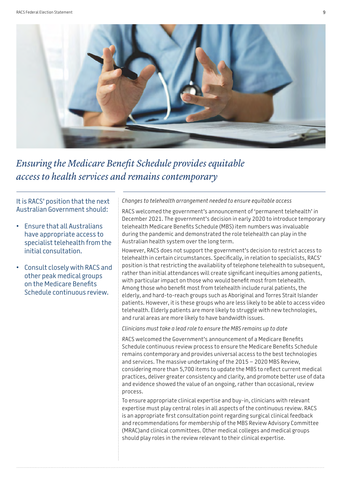

### *Ensuring the Medicare Benefit Schedule provides equitable access to health services and remains contemporary*

It is RACS' position that the next Australian Government should:

- Ensure that all Australians have appropriate access to specialist telehealth from the initial consultation.
- Consult closely with RACS and other peak medical groups on the Medicare Benefits Schedule continuous review.

*Changes to telehealth arrangement needed to ensure equitable access*

RACS welcomed the government's announcement of 'permanent telehealth' in December 2021. The government's decision in early 2020 to introduce temporary telehealth Medicare Benefits Schedule (MBS) item numbers was invaluable during the pandemic and demonstrated the role telehealth can play in the Australian health system over the long term.

However, RACS does not support the government's decision to restrict access to telehealth in certain circumstances. Specifically, in relation to specialists, RACS' position is that restricting the availability of telephone telehealth to subsequent, rather than initial attendances will create significant inequities among patients, with particular impact on those who would benefit most from telehealth. Among those who benefit most from telehealth include rural patients, the elderly, and hard-to-reach groups such as Aboriginal and Torres Strait Islander patients. However, it is these groups who are less likely to be able to access video telehealth. Elderly patients are more likely to struggle with new technologies, and rural areas are more likely to have bandwidth issues.

*Clinicians must take a lead role to ensure the MBS remains up to date*

*R*ACS welcomed the Government's announcement of a Medicare Benefits Schedule continuous review process to ensure the Medicare Benefits Schedule remains contemporary and provides universal access to the best technologies and services. The massive undertaking of the 2015 – 2020 MBS Review, considering more than 5,700 items to update the MBS to reflect current medical practices, deliver greater consistency and clarity, and promote better use of data and evidence showed the value of an ongoing, rather than occasional, review process.

To ensure appropriate clinical expertise and buy-in, clinicians with relevant expertise must play central roles in all aspects of the continuous review. RACS is an appropriate first consultation point regarding surgical clinical feedback and recommendations for membership of the MBS Review Advisory Committee (MRAC)and clinical committees. Other medical colleges and medical groups should play roles in the review relevant to their clinical expertise.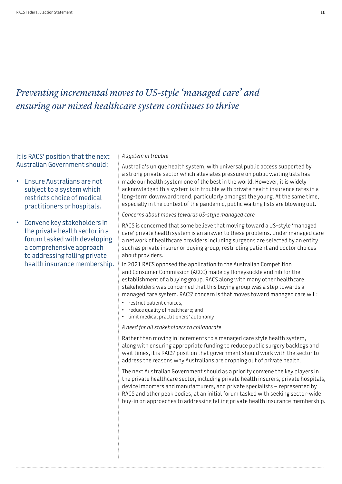### *Preventing incremental moves to US-style 'managed care' and ensuring our mixed healthcare system continues to thrive*

It is RACS' position that the next Australian Government should:

- Ensure Australians are not subject to a system which restricts choice of medical practitioners or hospitals.
- Convene key stakeholders in the private health sector in a forum tasked with developing a comprehensive approach to addressing falling private health insurance membership.

#### *A system in trouble*

Australia's unique health system, with universal public access supported by a strong private sector which alleviates pressure on public waiting lists has made our health system one of the best in the world. However, it is widely acknowledged this system is in trouble with private health insurance rates in a long-term downward trend, particularly amongst the young. At the same time, especially in the context of the pandemic, public waiting lists are blowing out.

*Concerns about moves towards US-style managed care*

RACS is concerned that some believe that moving toward a US-style 'managed care' private health system is an answer to these problems. Under managed care a network of healthcare providers including surgeons are selected by an entity such as private insurer or buying group, restricting patient and doctor choices about providers.

In 2021 RACS opposed the application to the Australian Competition and Consumer Commission (ACCC) made by Honeysuckle and nib for the establishment of a buying group. RACS along with many other healthcare stakeholders was concerned that this buying group was a step towards a managed care system. RACS' concern is that moves toward managed care will:

- restrict patient choices,
- reduce quality of healthcare; and
- limit medical practitioners' autonomy

*A need for all stakeholders to collaborate*

Rather than moving in increments to a managed care style health system, along with ensuring appropriate funding to reduce public surgery backlogs and wait times, it is RACS' position that government should work with the sector to address the reasons why Australians are dropping out of private health.

The next Australian Government should as a priority convene the key players in the private healthcare sector, including private health insurers, private hospitals, device importers and manufacturers, and private specialists – represented by RACS and other peak bodies, at an initial forum tasked with seeking sector-wide buy-in on approaches to addressing falling private health insurance membership.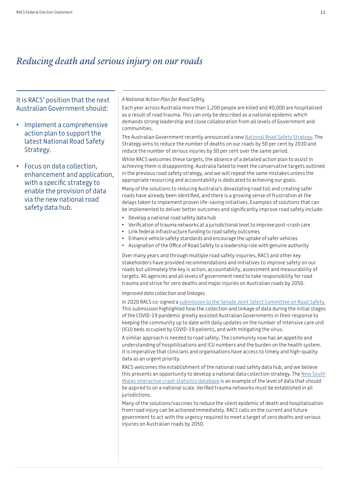### *Reducing death and serious injury on our roads*

It is RACS' position that the next Australian Government should:

- Implement a comprehensive action plan to support the latest National Road Safety Strategy.
- Focus on data collection, enhancement and application, with a specific strategy to enable the provision of data via the new national road safety data hub.

#### *A National Action Plan for Road Safety*

Each year across Australia more than 1,200 people are killed and 40,000 are hospitalised as a result of road trauma. This can only be described as a national epidemic which demands strong leadership and close collaboration from all levels of Government and communities.

The Australian Government recently announced a new [National Road Safety Strategy.](https://www.roadsafety.gov.au/) The Strategy aims to reduce the number of deaths on our roads by 50 per cent by 2030 and reduce the number of serious injuries by 50 per cent over the same period.

While RACS welcomes these targets, the absence of a detailed action plan to assist in achieving them is disappointing. Australia failed to meet the conservative targets outlined in the previous road safety strategy, and we will repeat the same mistakes unless the appropriate resourcing and accountability is dedicated to achieving our goals.

Many of the solutions to reducing Australia's devastating road toll and creating safer roads have already been identified, and there is a growing sense of frustration at the delays taken to implement proven life-saving initiatives. Examples of solutions that can be implemented to deliver better outcomes and significantly improve road safety include:

- Develop a national road safety data hub
- Verification of trauma networks at a jurisdictional level to improve post-crash care
- Link federal infrastructure funding to road safety outcomes
- Enhance vehicle safety standards and encourage the uptake of safer vehicles
- Assignation of the Office of Road Safety to a leadership role with genuine authority

Over many years and through multiple road safety inquiries, RACS and other key stakeholders have provided recommendations and initiatives to improve safety on our roads but ultimately the key is action, accountability, assessment and measurability of targets. All agencies and all levels of government need to take responsibility for road trauma and strive for zero deaths and major injuries on Australian roads by 2050.

*Improved data collection and linkages*

In 2020 RACS co-signed a [submission to the Senate Joint Select Committee on Road Safety.](https://www.surgeons.org/News/Advocacy/Letter-to-Joint-Select-Committee-on-Road-Safety)  This submission highlighted how the collection and linkage of data during the initial stages of the COVID-19 pandemic greatly assisted Australian Governments in their response to keeping the community up to date with daily updates on the number of Intensive care unit (ICU) beds occupied by COVID-19 patients, and with mitigating the virus.

A similar approach is needed to road safety. The community now has an appetite and understanding of hospitilisations and ICU numbers and the burden on the health system. It is imperative that clinicians and organisations have access to timely and high-quality data as an urgent priority.

RACS welcomes the establishment of the national road safety data hub, and we believe this presents an opportunity to develop a national data collection strategy. The [New South](https://roadsafety.transport.nsw.gov.au/statistics/interactivecrashstats/index.html)  [Wales interactive crash statistics database](https://roadsafety.transport.nsw.gov.au/statistics/interactivecrashstats/index.html) is an example of the level of data that should be aspired to on a national scale. Verified trauma networks must be established in all jurisdictions.

Many of the solutions/vaccines to reduce the silent epidemic of death and hospitalisation from road injury can be actioned immediately. RACS calls on the current and future government to act with the urgency required to meet a target of zero deaths and serious injuries on Australian roads by 2050.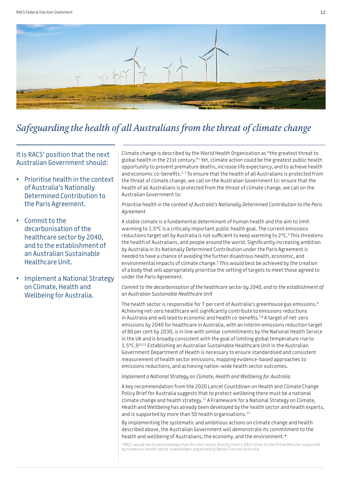

# *Safeguarding the health of all Australians from the threat of climate change*

It is RACS' position that the next Australian Government should:

- Prioritise health in the context of Australia's Nationally Determined Contribution to the Paris Agreement.
- Commit to the decarbonisation of the healthcare sector by 2040, and to the establishment of an Australian Sustainable Healthcare Unit.
- Implement a National Strategy on Climate, Health and Wellbeing for Australia.

Climate change is described by the World Health Organization as "the greatest threat to global health in the 21st century."1 Yet, climate action could be the greatest public health opportunity to prevent premature deaths, increase life expectancy, and to achieve health and economic co-benefits.<sup>2, 3</sup> To ensure that the health of all Australians is protected from the threat of climate change, we call on the Australian Government to: ensure that the health of all Australians is protected from the threat of climate change, we call on the Australian Government to:

#### *Prioritise health in the context of Australia's Nationally Determined Contribution to the Paris Agreement*

A stable climate is a fundamental determinant of human health and the aim to limit warming to 1.5°C is a critically important public health goal. The current emissions reductions target set by Australia is not sufficient to keep warming to 2°C.<sup>4</sup> This threatens the health of Australians, and people around the world. Significantly increasing ambition by Australia in its Nationally Determined Contribution under the Paris Agreement is needed to have a chance of avoiding the further disastrous health, economic, and environmental impacts of climate change.<sup>5</sup> This would best be achieved by the creation of a body that will appropriately prioritise the setting of targets to meet those agreed to under the Paris Agreement.

#### *Commit to the decarbonisation of the healthcare sector by 2040, and to the establishment of an Australian Sustainable Healthcare Unit*

The health sector is responsible for 7 per cent of Australia's greenhouse gas emissions.<sup>6</sup> Achieving net-zero healthcare will significantly contribute to emissions reductions in Australia and will lead to economic and health co-benefits.7,8 A target of net-zero emissions by 2040 for healthcare in Australia, with an interim emissions reduction target of 80 per cent by 2030, is in line with similar commitments by the National Health Service in the UK and is broadly consistent with the goal of limiting global temperature rise to 1.5°C.910,11 Establishing an Australian Sustainable Healthcare Unit in the Australian Government Department of Health is necessary to ensure standardised and consistent measurement of health sector emissions, mapping evidence-based approaches to emissions reductions, and achieving nation-wide health sector outcomes.

#### *Implement a National Strategy on Climate, Health and Wellbeing for Australia*

A key recommendation from the 2020 Lancet Countdown on Health and Climate Change Policy Brief for Australia suggests that to protect wellbeing there must be a national climate change and health strategy.12 A Framework for a National Strategy on Climate, Health and Wellbeing has already been developed by the health sector and health experts, and is supported by more than 50 health organisations.<sup>13</sup>

By implementing the systematic and ambitious actions on climate change and health described above, the Australian Government will demonstrate its commitment to the health and wellbeing of Australians, the economy, and the environment.\*

\*RACS would like to acknowledge that this text comes directly from a 2021 letter to the Prime Minister supported by numerous health sector stakeholders organised by Better Futures Australia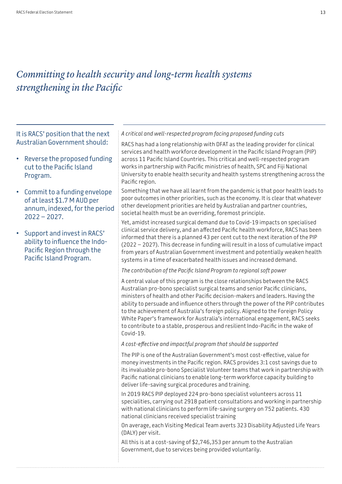# *Committing to health security and long-term health systems strengthening in the Pacific*

It is RACS' position that the next Australian Government should:

- Reverse the proposed funding cut to the Pacific Island Program.
- Commit to a funding envelope of at least \$1.7 M AUD per annum, indexed, for the period 2022 – 2027.
- Support and invest in RACS' ability to influence the Indo-Pacific Region through the Pacific Island Program.

#### *A critical and well-respected program facing proposed funding cuts*

RACS has had a long relationship with DFAT as the leading provider for clinical services and health workforce development in the Pacific Island Program (PIP) across 11 Pacific Island Countries. This critical and well-respected program works in partnership with Pacific ministries of health, SPC and Fiji National University to enable health security and health systems strengthening across the Pacific region.

Something that we have all learnt from the pandemic is that poor health leads to poor outcomes in other priorities, such as the economy. It is clear that whatever other development priorities are held by Australian and partner countries, societal health must be an overriding, foremost principle.

Yet, amidst increased surgical demand due to Covid-19 impacts on specialised clinical service delivery, and an affected Pacific health workforce, RACS has been informed that there is a planned 43 per cent cut to the next iteration of the PIP (2022 – 2027). This decrease in funding will result in a loss of cumulative impact from years of Australian Government investment and potentially weaken health systems in a time of exacerbated health issues and increased demand.

*The contribution of the Pacific Island Program to regional soft power*

A central value of this program is the close relationships between the RACS Australian pro-bono specialist surgical teams and senior Pacific clinicians, ministers of health and other Pacific decision-makers and leaders. Having the ability to persuade and influence others through the power of the PIP contributes to the achievement of Australia's foreign policy. Aligned to the Foreign Policy White Paper's framework for Australia's international engagement, RACS seeks to contribute to a stable, prosperous and resilient Indo-Pacific in the wake of Covid-19.

*A cost-effective and impactful program that should be supported*

The PIP is one of the Australian Government's most cost-effective, value for money investments in the Pacific region. RACS provides 3:1 cost savings due to its invaluable pro-bono Specialist Volunteer teams that work in partnership with Pacific national clinicians to enable long-term workforce capacity building to deliver life-saving surgical procedures and training.

In 2019 RACS PIP deployed 224 pro-bono specialist volunteers across 11 specialities, carrying out 2918 patient consultations and working in partnership with national clinicians to perform life-saving surgery on 752 patients. 430 national clinicians received specialist training

On average, each Visiting Medical Team averts 323 Disability Adjusted Life Years (DALY) per visit.

All this is at a cost-saving of \$2,746,353 per annum to the Australian Government, due to services being provided voluntarily.